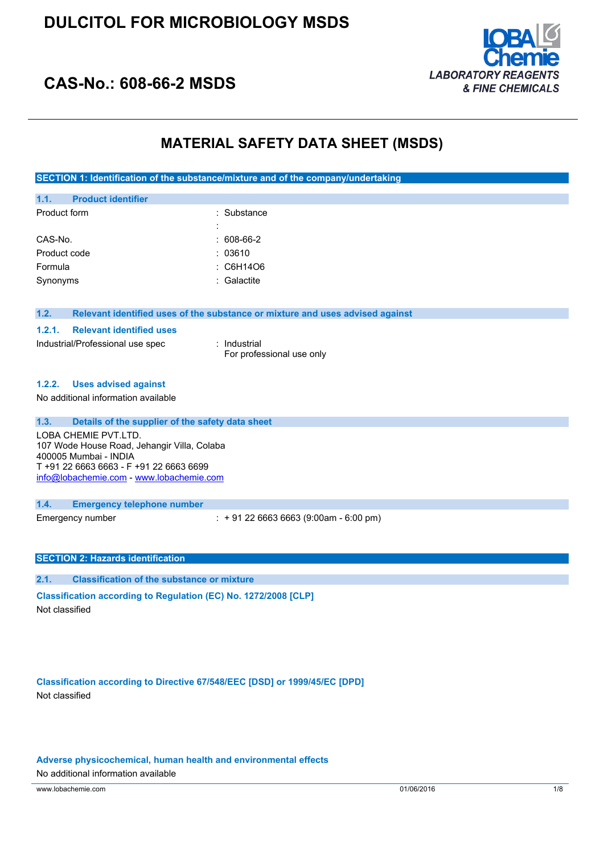

## **CAS-No.: 608-66-2 MSDS**

### **MATERIAL SAFETY DATA SHEET (MSDS)**

**SECTION 1: Identification of the substance/mixture and of the company/undertaking**

| 1.1.         | <b>Product identifier</b> |   |              |
|--------------|---------------------------|---|--------------|
| Product form |                           |   | : Substance  |
|              |                           | ٠ |              |
| CAS-No.      |                           |   | $: 608-66-2$ |
| Product code |                           |   | : 03610      |
| Formula      |                           |   | : C6H14O6    |
| Synonyms     |                           |   | : Galactite  |
|              |                           |   |              |

### **1.2. Relevant identified uses of the substance or mixture and uses advised against**

### **1.2.1. Relevant identified uses**

Industrial/Professional use spec : Industrial

For professional use only

### **1.2.2. Uses advised against**

No additional information available

| 1.3.<br>Details of the supplier of the safety data sheet<br>LOBA CHEMIE PVT.LTD.<br>107 Wode House Road, Jehangir Villa, Colaba<br>400005 Mumbai - INDIA<br>T +91 22 6663 6663 - F +91 22 6663 6699<br>info@lobachemie.com - www.lobachemie.com |                                             |
|-------------------------------------------------------------------------------------------------------------------------------------------------------------------------------------------------------------------------------------------------|---------------------------------------------|
| 1.4.<br><b>Emergency telephone number</b>                                                                                                                                                                                                       |                                             |
| Emergency number                                                                                                                                                                                                                                | $\div$ + 91 22 6663 6663 (9:00am - 6:00 pm) |

### **SECTION 2: Hazards identification**

**2.1. Classification of the substance or mixture**

**Classification according to Regulation (EC) No. 1272/2008 [CLP]** Not classified

**Classification according to Directive 67/548/EEC [DSD] or 1999/45/EC [DPD]** Not classified

**Adverse physicochemical, human health and environmental effects**

No additional information available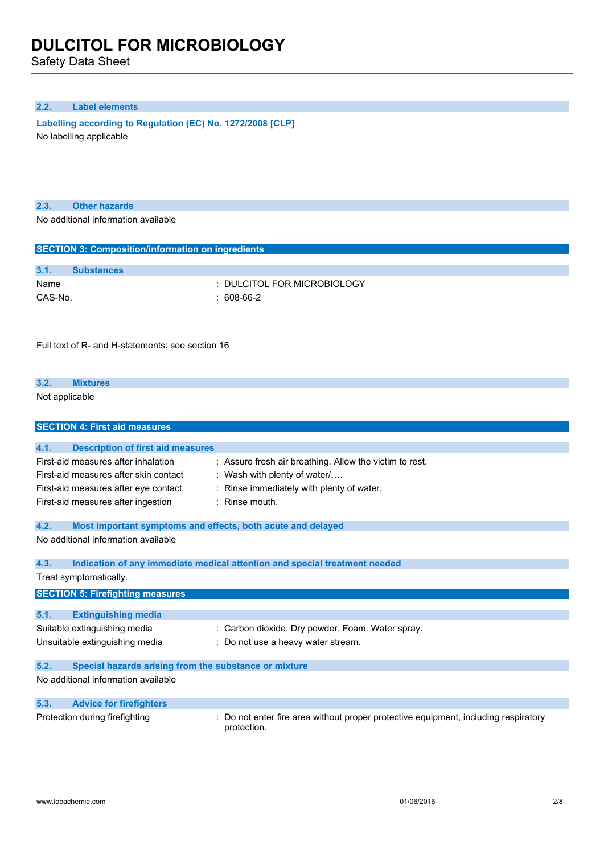Safety Data Sheet

### **2.2. Label elements**

**Labelling according to Regulation (EC)** No. 1272/2008 [CLP] No labelling applicable

### **2.3. Other hazards**

No additional information available

| <b>SECTION 3: Composition/information on ingredients</b>            |                                                                                                    |  |  |
|---------------------------------------------------------------------|----------------------------------------------------------------------------------------------------|--|--|
| 3.1.<br><b>Substances</b>                                           |                                                                                                    |  |  |
| Name                                                                | DULCITOL FOR MICROBIOLOGY                                                                          |  |  |
| CAS-No.                                                             | 608-66-2                                                                                           |  |  |
|                                                                     |                                                                                                    |  |  |
|                                                                     |                                                                                                    |  |  |
|                                                                     |                                                                                                    |  |  |
| Full text of R- and H-statements: see section 16                    |                                                                                                    |  |  |
|                                                                     |                                                                                                    |  |  |
| 3.2.<br><b>Mixtures</b>                                             |                                                                                                    |  |  |
| Not applicable                                                      |                                                                                                    |  |  |
|                                                                     |                                                                                                    |  |  |
| <b>SECTION 4: First aid measures</b>                                |                                                                                                    |  |  |
|                                                                     |                                                                                                    |  |  |
| 4.1.<br><b>Description of first aid measures</b>                    |                                                                                                    |  |  |
| First-aid measures after inhalation                                 | : Assure fresh air breathing. Allow the victim to rest.                                            |  |  |
| First-aid measures after skin contact                               | : Wash with plenty of water/                                                                       |  |  |
| First-aid measures after eye contact                                | : Rinse immediately with plenty of water.                                                          |  |  |
| First-aid measures after ingestion                                  | : Rinse mouth.                                                                                     |  |  |
| 4.2.<br>Most important symptoms and effects, both acute and delayed |                                                                                                    |  |  |
| No additional information available                                 |                                                                                                    |  |  |
|                                                                     |                                                                                                    |  |  |
| 4.3.                                                                | Indication of any immediate medical attention and special treatment needed                         |  |  |
| Treat symptomatically.                                              |                                                                                                    |  |  |
| <b>SECTION 5: Firefighting measures</b>                             |                                                                                                    |  |  |
|                                                                     |                                                                                                    |  |  |
| 5.1.<br><b>Extinguishing media</b>                                  |                                                                                                    |  |  |
| Suitable extinguishing media                                        | : Carbon dioxide. Dry powder. Foam. Water spray.                                                   |  |  |
| Unsuitable extinguishing media                                      | : Do not use a heavy water stream.                                                                 |  |  |
| 5.2.<br>Special hazards arising from the substance or mixture       |                                                                                                    |  |  |
| No additional information available                                 |                                                                                                    |  |  |
|                                                                     |                                                                                                    |  |  |
| 5.3.<br><b>Advice for firefighters</b>                              |                                                                                                    |  |  |
| Protection during firefighting                                      | : Do not enter fire area without proper protective equipment, including respiratory<br>protection. |  |  |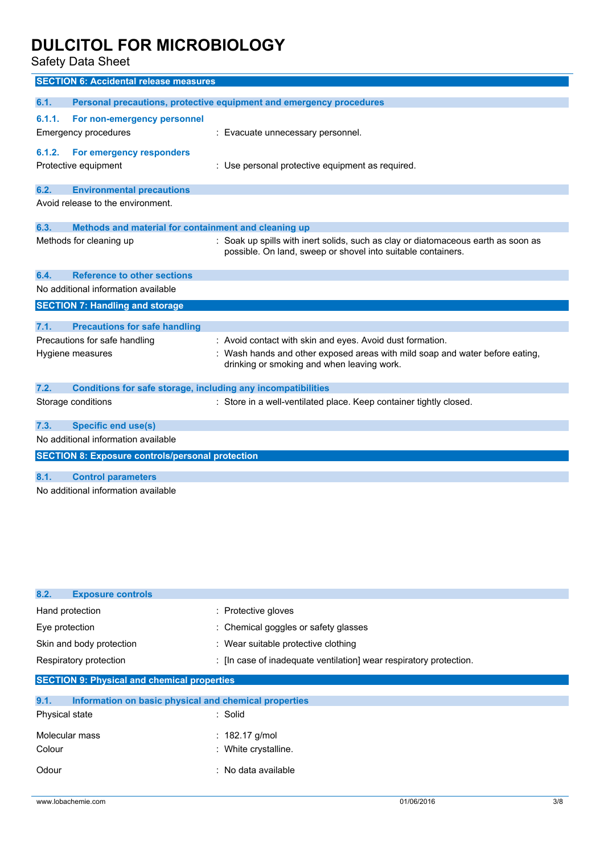Safety Data Sheet

|        | <b>SECTION 6: Accidental release measures</b>                       |                                                                                                                                                   |
|--------|---------------------------------------------------------------------|---------------------------------------------------------------------------------------------------------------------------------------------------|
|        |                                                                     |                                                                                                                                                   |
| 6.1.   |                                                                     | Personal precautions, protective equipment and emergency procedures                                                                               |
| 6.1.1. | For non-emergency personnel                                         |                                                                                                                                                   |
|        | Emergency procedures                                                | : Evacuate unnecessary personnel.                                                                                                                 |
| 6.1.2. | For emergency responders                                            |                                                                                                                                                   |
|        | Protective equipment                                                | : Use personal protective equipment as required.                                                                                                  |
|        |                                                                     |                                                                                                                                                   |
| 6.2.   | <b>Environmental precautions</b>                                    |                                                                                                                                                   |
|        | Avoid release to the environment.                                   |                                                                                                                                                   |
| 6.3.   |                                                                     |                                                                                                                                                   |
|        | Methods and material for containment and cleaning up                |                                                                                                                                                   |
|        | Methods for cleaning up                                             | : Soak up spills with inert solids, such as clay or diatomaceous earth as soon as<br>possible. On land, sweep or shovel into suitable containers. |
| 6.4.   | <b>Reference to other sections</b>                                  |                                                                                                                                                   |
|        | No additional information available                                 |                                                                                                                                                   |
|        | <b>SECTION 7: Handling and storage</b>                              |                                                                                                                                                   |
|        |                                                                     |                                                                                                                                                   |
| 7.1.   | <b>Precautions for safe handling</b>                                |                                                                                                                                                   |
|        | Precautions for safe handling                                       | : Avoid contact with skin and eyes. Avoid dust formation.                                                                                         |
|        | Hygiene measures                                                    | Wash hands and other exposed areas with mild soap and water before eating,<br>drinking or smoking and when leaving work.                          |
| 7.2.   | <b>Conditions for safe storage, including any incompatibilities</b> |                                                                                                                                                   |
|        | Storage conditions                                                  | : Store in a well-ventilated place. Keep container tightly closed.                                                                                |
| 7.3.   | <b>Specific end use(s)</b>                                          |                                                                                                                                                   |
|        | No additional information available                                 |                                                                                                                                                   |
|        | <b>SECTION 8: Exposure controls/personal protection</b>             |                                                                                                                                                   |
| 8.1.   | <b>Control parameters</b>                                           |                                                                                                                                                   |
|        | No additional information available                                 |                                                                                                                                                   |

| 8.2.<br><b>Exposure controls</b>                              |                                                                    |
|---------------------------------------------------------------|--------------------------------------------------------------------|
| Hand protection                                               | : Protective gloves                                                |
| Eye protection                                                | : Chemical goggles or safety glasses                               |
| Skin and body protection                                      | : Wear suitable protective clothing                                |
| Respiratory protection                                        | : [In case of inadequate ventilation] wear respiratory protection. |
| <b>SECTION 9: Physical and chemical properties</b>            |                                                                    |
| Information on basic physical and chemical properties<br>9.1. |                                                                    |
| Physical state                                                | : Solid                                                            |
| Molecular mass                                                | : 182.17 g/mol                                                     |
| Colour                                                        | : White crystalline.                                               |
| Odour                                                         | : No data available                                                |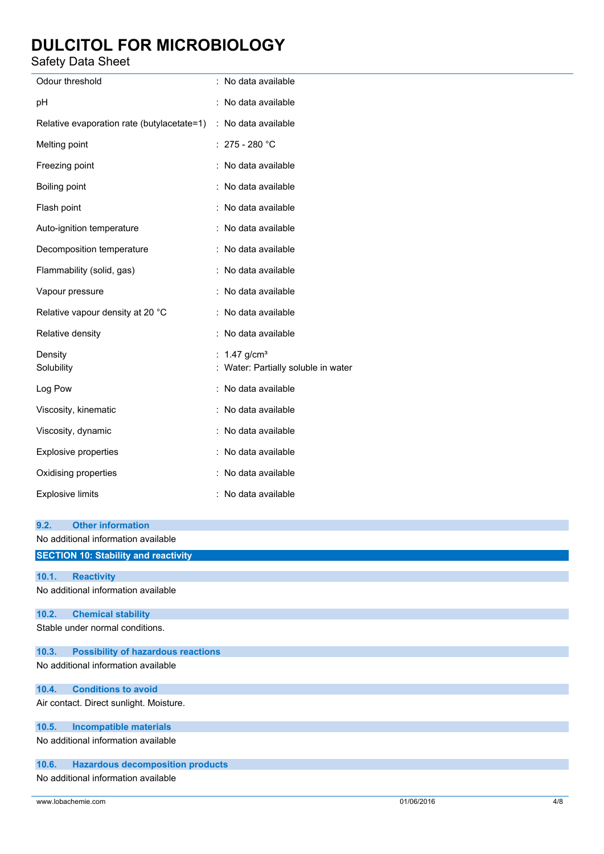Safety Data Sheet

| Odour threshold                                                         | : No data available                                               |  |  |
|-------------------------------------------------------------------------|-------------------------------------------------------------------|--|--|
| рH                                                                      | : No data available                                               |  |  |
| Relative evaporation rate (butylacetate=1) : No data available          |                                                                   |  |  |
| Melting point                                                           | : $275 - 280$ °C                                                  |  |  |
| Freezing point                                                          | : No data available                                               |  |  |
| Boiling point                                                           | : No data available                                               |  |  |
| Flash point                                                             | : No data available                                               |  |  |
| Auto-ignition temperature                                               | : No data available                                               |  |  |
| Decomposition temperature                                               | : No data available                                               |  |  |
| Flammability (solid, gas)                                               | : No data available                                               |  |  |
| Vapour pressure                                                         | : No data available                                               |  |  |
| Relative vapour density at 20 °C                                        | : No data available                                               |  |  |
| Relative density                                                        | : No data available                                               |  |  |
| Density<br>Solubility                                                   | : $1.47$ g/cm <sup>3</sup><br>: Water: Partially soluble in water |  |  |
| Log Pow                                                                 | : No data available                                               |  |  |
| Viscosity, kinematic                                                    | : No data available                                               |  |  |
| Viscosity, dynamic                                                      | : No data available                                               |  |  |
| <b>Explosive properties</b>                                             | : No data available                                               |  |  |
| Oxidising properties                                                    | : No data available                                               |  |  |
| <b>Explosive limits</b>                                                 | : No data available                                               |  |  |
| <b>Other information</b><br>9.2.<br>No additional information available |                                                                   |  |  |
| <b>SECTION 10: Stability and reactivity</b>                             |                                                                   |  |  |
| 10.1.<br><b>Reactivity</b><br>No additional information available       |                                                                   |  |  |
|                                                                         |                                                                   |  |  |
| 10.2.<br><b>Chemical stability</b><br>Stable under normal conditions.   |                                                                   |  |  |
| 10.3.<br><b>Possibility of hazardous reactions</b>                      |                                                                   |  |  |
| No additional information available                                     |                                                                   |  |  |
| <b>Conditions to avoid</b><br>10.4.                                     |                                                                   |  |  |
| Air contact. Direct sunlight. Moisture.                                 |                                                                   |  |  |
| <b>Incompatible materials</b><br>10.5.                                  |                                                                   |  |  |
| No additional information available                                     |                                                                   |  |  |
| <b>Hazardous decomposition products</b><br>10.6.                        |                                                                   |  |  |
| No additional information available                                     |                                                                   |  |  |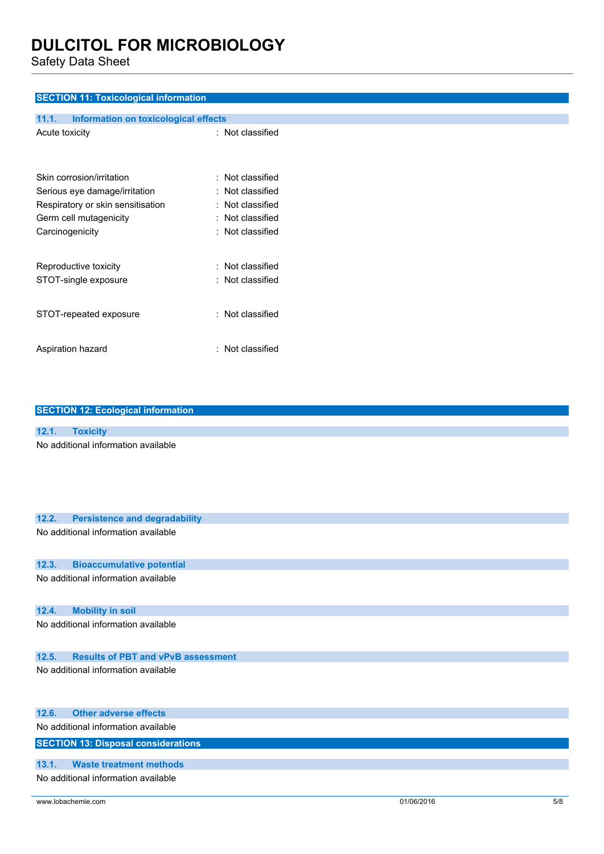Safety Data Sheet

### **SECTION 11: Toxicological information**

| 11.1.<br>Information on toxicological effects |                  |  |
|-----------------------------------------------|------------------|--|
| Acute toxicity                                | : Not classified |  |
| Skin corrosion/irritation                     | : Not classified |  |
| Serious eye damage/irritation                 | : Not classified |  |
| Respiratory or skin sensitisation             | : Not classified |  |
| Germ cell mutagenicity                        | : Not classified |  |
| Carcinogenicity                               | : Not classified |  |
| Reproductive toxicity                         | : Not classified |  |
| STOT-single exposure                          | : Not classified |  |
| STOT-repeated exposure                        | : Not classified |  |
| Aspiration hazard                             | : Not classified |  |

| <b>SECTION 12: Ecological information</b>     |  |  |  |
|-----------------------------------------------|--|--|--|
|                                               |  |  |  |
| 12.1.<br><b>Toxicity</b>                      |  |  |  |
| No additional information available           |  |  |  |
| 12.2.<br><b>Persistence and degradability</b> |  |  |  |
| No additional information available           |  |  |  |
| 12.3.<br><b>Bioaccumulative potential</b>     |  |  |  |
| No additional information available           |  |  |  |
| <b>Mobility in soil</b><br>12.4.              |  |  |  |
| No additional information available           |  |  |  |

### **12.5. Results of PBT and vPvB assessment**

No additional information available

|                                            | 12.6. Other adverse effects         |  |  |
|--------------------------------------------|-------------------------------------|--|--|
|                                            | No additional information available |  |  |
| <b>SECTION 13: Disposal considerations</b> |                                     |  |  |
| 13.1.                                      | Waste treatment methods             |  |  |
|                                            | No additional information available |  |  |

www.lobachemie.com 5/8 01/06/2016 5/8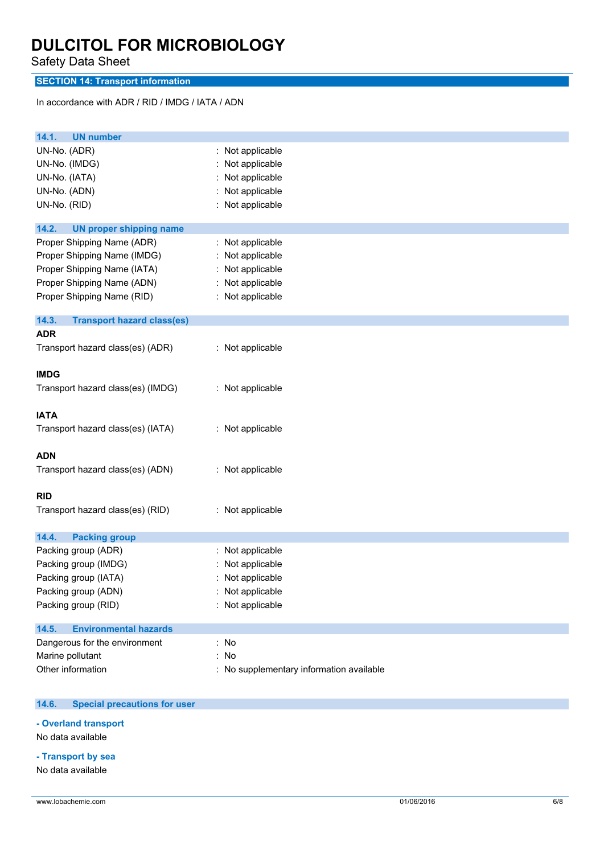Safety Data Sheet

### **SECTION 14: Transport information**

In accordance with ADR / RID / IMDG / IATA / ADN

| <b>UN number</b><br>14.1.                                                                                                                            |                                                                                                   |
|------------------------------------------------------------------------------------------------------------------------------------------------------|---------------------------------------------------------------------------------------------------|
| UN-No. (ADR)<br>UN-No. (IMDG)<br>UN-No. (IATA)<br>UN-No. (ADN)<br>UN-No. (RID)                                                                       | : Not applicable<br>Not applicable<br>Not applicable<br>Not applicable<br>Not applicable          |
| 14.2.<br><b>UN proper shipping name</b>                                                                                                              |                                                                                                   |
| Proper Shipping Name (ADR)<br>Proper Shipping Name (IMDG)<br>Proper Shipping Name (IATA)<br>Proper Shipping Name (ADN)<br>Proper Shipping Name (RID) | : Not applicable<br>Not applicable<br>: Not applicable<br>Not applicable<br>÷<br>: Not applicable |
| 14.3.<br><b>Transport hazard class(es)</b>                                                                                                           |                                                                                                   |
| <b>ADR</b>                                                                                                                                           |                                                                                                   |
| Transport hazard class(es) (ADR)                                                                                                                     | : Not applicable                                                                                  |
| <b>IMDG</b>                                                                                                                                          |                                                                                                   |
| Transport hazard class(es) (IMDG)                                                                                                                    | : Not applicable                                                                                  |
| <b>IATA</b>                                                                                                                                          |                                                                                                   |
| Transport hazard class(es) (IATA)                                                                                                                    | : Not applicable                                                                                  |
| <b>ADN</b>                                                                                                                                           |                                                                                                   |
| Transport hazard class(es) (ADN)                                                                                                                     | : Not applicable                                                                                  |
| <b>RID</b>                                                                                                                                           |                                                                                                   |
| Transport hazard class(es) (RID)                                                                                                                     | : Not applicable                                                                                  |
| <b>Packing group</b><br>14.4.                                                                                                                        |                                                                                                   |
| Packing group (ADR)                                                                                                                                  | Not applicable                                                                                    |
| Packing group (IMDG)                                                                                                                                 | Not applicable                                                                                    |
| Packing group (IATA)                                                                                                                                 | Not applicable                                                                                    |
| Packing group (ADN)                                                                                                                                  | : Not applicable                                                                                  |
| Packing group (RID)                                                                                                                                  | Not applicable                                                                                    |
| <b>Environmental hazards</b><br>14.5.                                                                                                                |                                                                                                   |
| Dangerous for the environment                                                                                                                        | : No                                                                                              |
| Marine pollutant                                                                                                                                     | : No                                                                                              |
| Other information                                                                                                                                    | No supplementary information available                                                            |

#### $14.6.$ **14.6. Special precautions for user**

**- Overland transport**

No data available

### **- Transport by sea**

No data available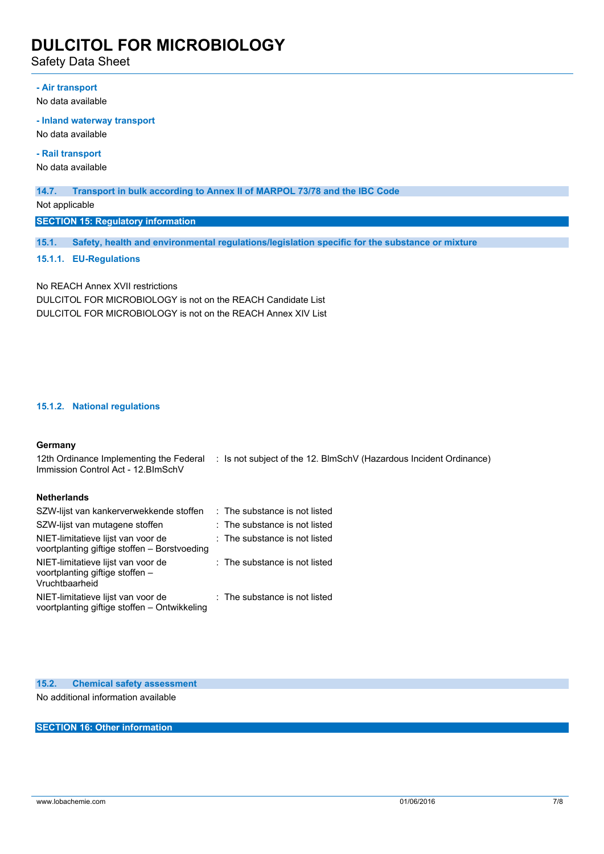Safety Data Sheet

### **- Air transport**

No data available

#### **- Inland waterway transport**

No data available

**- Rail transport**

No data available

#### **14.7. Transport in bulk according to Annex II of MARPOL 73/78 and the IBC Code**

Not applicable

**SECTION 15: Regulatory information**

**15.1. Safety, health and environmental regulations/legislation specific for the substance or mixture**

### **15.1.1. EU-Regulations**

No REACH Annex XVII restrictions DULCITOL FOR MICROBIOLOGY is not on the REACH Candidate List DULCITOL FOR MICROBIOLOGY is not on the REACH Annex XIV List

### **15.1.2. National regulations**

#### **Germany**

12th Ordinance Implementing the Federal : Is not subject of the 12. BlmSchV (Hazardous Incident Ordinance) Immission Control Act - 12.BImSchV

### **Netherlands**

| SZW-lijst van kankerverwekkende stoffen                                                 | : The substance is not listed |
|-----------------------------------------------------------------------------------------|-------------------------------|
| SZW-lijst van mutagene stoffen                                                          | : The substance is not listed |
| NIET-limitatieve lijst van voor de<br>voortplanting giftige stoffen - Borstvoeding      | : The substance is not listed |
| NIET-limitatieve lijst van voor de<br>voortplanting giftige stoffen -<br>Vruchtbaarheid | : The substance is not listed |
| NIET-limitatieve lijst van voor de<br>voortplanting giftige stoffen - Ontwikkeling      | : The substance is not listed |

**15.2. Chemical safety assessment** No additional information available

**SECTION 16: Other information**